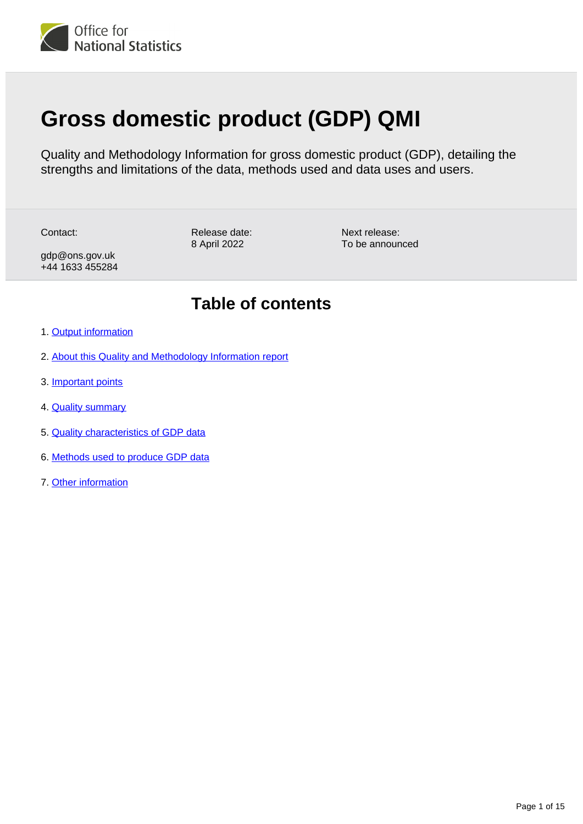

# **Gross domestic product (GDP) QMI**

Quality and Methodology Information for gross domestic product (GDP), detailing the strengths and limitations of the data, methods used and data uses and users.

Contact:

Release date: 8 April 2022

Next release: To be announced

gdp@ons.gov.uk +44 1633 455284

## **Table of contents**

- 1. [Output information](#page-1-0)
- 2. [About this Quality and Methodology Information report](#page-1-1)
- 3. [Important points](#page-1-2)
- 4. [Quality summary](#page-1-3)
- 5. [Quality characteristics of GDP data](#page-3-0)
- 6. [Methods used to produce GDP data](#page-7-0)
- 7. [Other information](#page-13-0)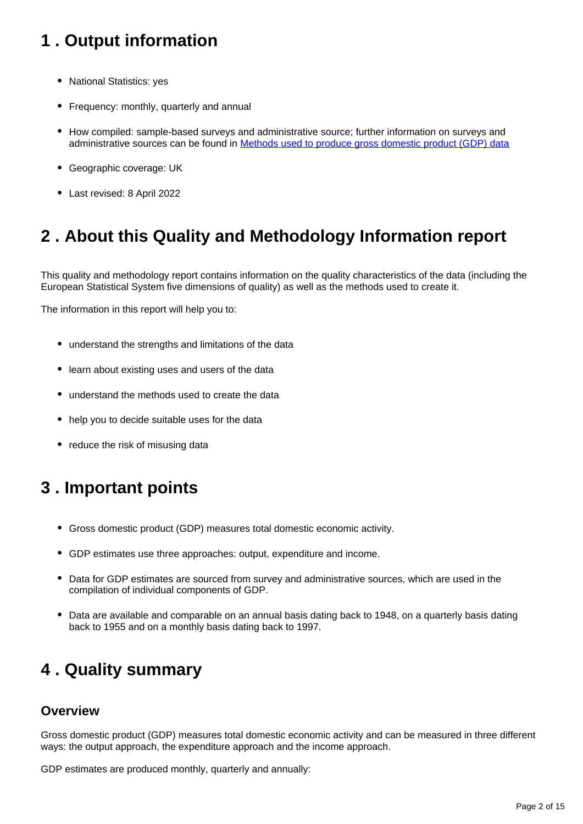## <span id="page-1-0"></span>**1 . Output information**

- National Statistics: yes
- Frequency: monthly, quarterly and annual
- How compiled: sample-based surveys and administrative source; further information on surveys and administrative sources can be found in **Methods used to produce gross domestic product (GDP)** data
- Geographic coverage: UK
- Last revised: 8 April 2022

## <span id="page-1-1"></span>**2 . About this Quality and Methodology Information report**

This quality and methodology report contains information on the quality characteristics of the data (including the European Statistical System five dimensions of quality) as well as the methods used to create it.

The information in this report will help you to:

- understand the strengths and limitations of the data
- learn about existing uses and users of the data
- understand the methods used to create the data
- help you to decide suitable uses for the data
- reduce the risk of misusing data

## <span id="page-1-2"></span>**3 . Important points**

- Gross domestic product (GDP) measures total domestic economic activity.
- GDP estimates use three approaches: output, expenditure and income.
- Data for GDP estimates are sourced from survey and administrative sources, which are used in the compilation of individual components of GDP.
- Data are available and comparable on an annual basis dating back to 1948, on a quarterly basis dating back to 1955 and on a monthly basis dating back to 1997.

## <span id="page-1-3"></span>**4 . Quality summary**

#### **Overview**

Gross domestic product (GDP) measures total domestic economic activity and can be measured in three different ways: the output approach, the expenditure approach and the income approach.

GDP estimates are produced monthly, quarterly and annually: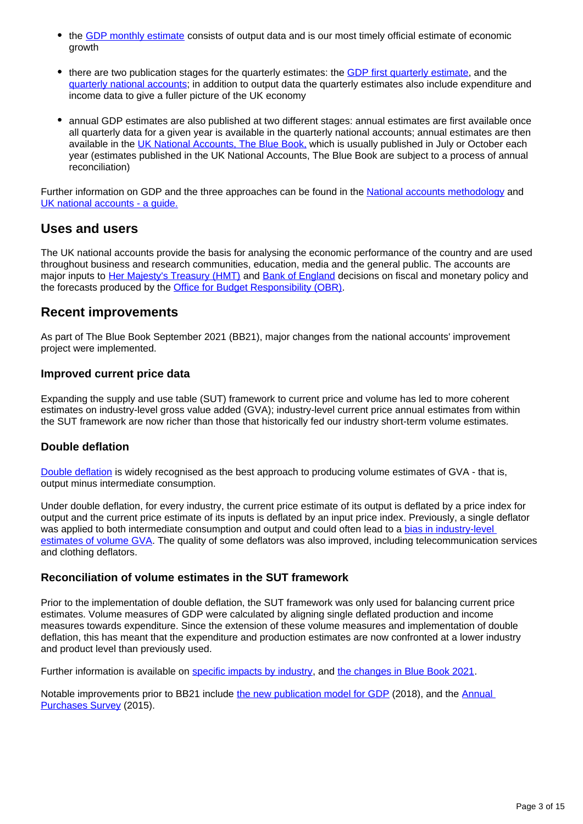- the [GDP monthly estimate](https://www.ons.gov.uk/economy/grossdomesticproductgdp/bulletins/gdpmonthlyestimateuk/previousReleases) consists of output data and is our most timely official estimate of economic growth
- there are two publication stages for the quarterly estimates: the [GDP first quarterly estimate,](https://www.ons.gov.uk/economy/grossdomesticproductgdp/bulletins/gdpfirstquarterlyestimateuk/previousReleases) and the [quarterly national accounts](https://www.ons.gov.uk/economy/grossdomesticproductgdp/bulletins/quarterlynationalaccounts/previousReleases); in addition to output data the quarterly estimates also include expenditure and income data to give a fuller picture of the UK economy
- annual GDP estimates are also published at two different stages: annual estimates are first available once all quarterly data for a given year is available in the quarterly national accounts; annual estimates are then available in the [UK National Accounts, The Blue Book,](https://www.ons.gov.uk/economy/grossdomesticproductgdp/compendium/unitedkingdomnationalaccountsthebluebook/previousReleases) which is usually published in July or October each year (estimates published in the UK National Accounts, The Blue Book are subject to a process of annual reconciliation)

Further information on GDP and the three approaches can be found in the [National accounts methodology](https://www.ons.gov.uk/economy/nationalaccounts/uksectoraccounts/methodologies/nationalaccounts) and [UK national accounts - a guide.](https://www.ons.gov.uk/economy/nationalaccounts/uksectoraccounts/methodologies/aguidetotheuknationalaccountsmarch2020)

#### **Uses and users**

The UK national accounts provide the basis for analysing the economic performance of the country and are used throughout business and research communities, education, media and the general public. The accounts are major inputs to [Her Majesty's Treasury \(HMT\)](https://www.gov.uk/government/organisations/hm-treasury) and [Bank of England](http://www.bankofengland.co.uk/) decisions on fiscal and monetary policy and the forecasts produced by the [Office for Budget Responsibility \(OBR\)](http://budgetresponsibility.org.uk/).

### **Recent improvements**

As part of The Blue Book September 2021 (BB21), major changes from the national accounts' improvement project were implemented.

#### **Improved current price data**

Expanding the supply and use table (SUT) framework to current price and volume has led to more coherent estimates on industry-level gross value added (GVA); industry-level current price annual estimates from within the SUT framework are now richer than those that historically fed our industry short-term volume estimates.

#### **Double deflation**

[Double deflation](https://www.ons.gov.uk/economy/nationalaccounts/uksectoraccounts/methodologies/doubledeflationmethodsanddeflatorimprovementstouknationalaccountsbluebook2021) is widely recognised as the best approach to producing volume estimates of GVA - that is, output minus intermediate consumption.

Under double deflation, for every industry, the current price estimate of its output is deflated by a price index for output and the current price estimate of its inputs is deflated by an input price index. Previously, a single deflator was applied to both intermediate consumption and output and could often lead to a bias in industry-level [estimates of volume GVA.](https://www.ons.gov.uk/economy/nationalaccounts/uksectoraccounts/articles/nationalaccountsarticles/transformationofgrossdomesticproductinbluebook2019) The quality of some deflators was also improved, including telecommunication services and clothing deflators.

#### **Reconciliation of volume estimates in the SUT framework**

Prior to the implementation of double deflation, the SUT framework was only used for balancing current price estimates. Volume measures of GDP were calculated by aligning single deflated production and income measures towards expenditure. Since the extension of these volume measures and implementation of double deflation, this has meant that the expenditure and production estimates are now confronted at a lower industry and product level than previously used.

Further information is available on [specific impacts by industry](https://www.ons.gov.uk/economy/grossdomesticproductgdp/articles/impactofbluebook2021changesonquarterlyandmonthlyvolumeestimatesofgrossdomesticproductbyindustry/2021-09-08), and [the changes in Blue Book 2021.](https://www.ons.gov.uk/economy/nationalaccounts/uksectoraccounts/methodologies/doubledeflationmethodsanddeflatorimprovementstouknationalaccountsbluebook2021)

Notable improvements prior to BB21 include [the new publication model for GDP](https://www.ons.gov.uk/economy/grossdomesticproductgdp/articles/introducinganewpublicationmodelforgdp/2018-04-27) (2018), and the Annual [Purchases Survey](https://www.ons.gov.uk/businessindustryandtrade/business/businessservices/articles/developmentoftheannualpurchasessurvey/2017-12-15) (2015).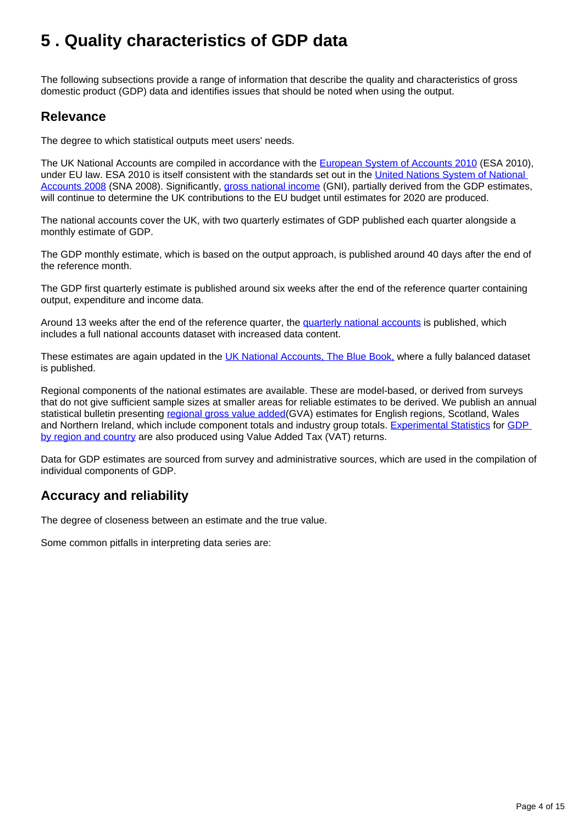## <span id="page-3-0"></span>**5 . Quality characteristics of GDP data**

The following subsections provide a range of information that describe the quality and characteristics of gross domestic product (GDP) data and identifies issues that should be noted when using the output.

### **Relevance**

The degree to which statistical outputs meet users' needs.

The UK National Accounts are compiled in accordance with the [European System of Accounts 2010](http://ec.europa.eu/eurostat/web/esa-2010/overview) (ESA 2010), under EU law. ESA 2010 is itself consistent with the standards set out in the United Nations System of National [Accounts 2008](http://unstats.un.org/unsd/nationalaccount/sna2008.asp) (SNA 2008). Significantly, [gross national income](https://www.ons.gov.uk/economy/grossdomesticproductgdp/datasets/esa2010gnifortheukmappedtoesa1995) (GNI), partially derived from the GDP estimates, will continue to determine the UK contributions to the EU budget until estimates for 2020 are produced.

The national accounts cover the UK, with two quarterly estimates of GDP published each quarter alongside a monthly estimate of GDP.

The GDP monthly estimate, which is based on the output approach, is published around 40 days after the end of the reference month.

The GDP first quarterly estimate is published around six weeks after the end of the reference quarter containing output, expenditure and income data.

Around 13 weeks after the end of the reference quarter, the [quarterly national accounts](https://www.ons.gov.uk/economy/grossdomesticproductgdp/bulletins/quarterlynationalaccounts/previousReleases) is published, which includes a full national accounts dataset with increased data content.

These estimates are again updated in the [UK National Accounts, The Blue Book,](https://www.ons.gov.uk/economy/grossdomesticproductgdp/compendium/unitedkingdomnationalaccountsthebluebook/previousReleases) where a fully balanced dataset is published.

Regional components of the national estimates are available. These are model-based, or derived from surveys that do not give sufficient sample sizes at smaller areas for reliable estimates to be derived. We publish an annual statistical bulletin presenting [regional gross value added\(](https://www.ons.gov.uk/economy/grossvalueaddedgva/bulletins/regionalgrossvalueaddedbalanceduk/previousReleases)GVA) estimates for English regions, Scotland, Wales and Northern Ireland, which include component totals and industry group totals. [Experimental Statistics](https://www.ons.gov.uk/methodology/methodologytopicsandstatisticalconcepts/guidetoexperimentalstatistics) for [GDP](https://www.ons.gov.uk/economy/grossdomesticproductgdp/bulletins/gdpukregionsandcountries/previousReleases)  [by region and country](https://www.ons.gov.uk/economy/grossdomesticproductgdp/bulletins/gdpukregionsandcountries/previousReleases) are also produced using Value Added Tax (VAT) returns.

Data for GDP estimates are sourced from survey and administrative sources, which are used in the compilation of individual components of GDP.

## **Accuracy and reliability**

The degree of closeness between an estimate and the true value.

Some common pitfalls in interpreting data series are: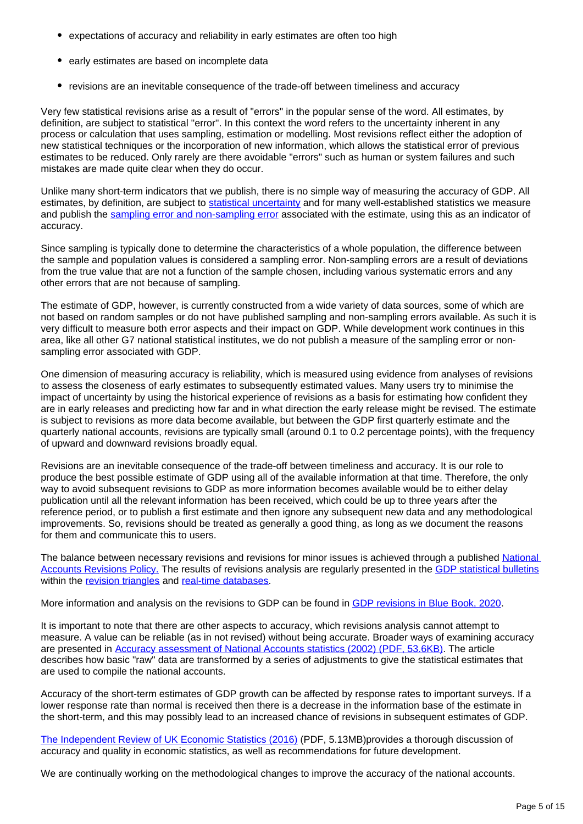- expectations of accuracy and reliability in early estimates are often too high
- early estimates are based on incomplete data
- revisions are an inevitable consequence of the trade-off between timeliness and accuracy

Very few statistical revisions arise as a result of "errors" in the popular sense of the word. All estimates, by definition, are subject to statistical "error". In this context the word refers to the uncertainty inherent in any process or calculation that uses sampling, estimation or modelling. Most revisions reflect either the adoption of new statistical techniques or the incorporation of new information, which allows the statistical error of previous estimates to be reduced. Only rarely are there avoidable "errors" such as human or system failures and such mistakes are made quite clear when they do occur.

Unlike many short-term indicators that we publish, there is no simple way of measuring the accuracy of GDP. All estimates, by definition, are subject to [statistical uncertainty](https://www.ons.gov.uk/methodology/methodologytopicsandstatisticalconcepts/uncertaintyandhowwemeasureit#what-is-uncertainty) and for many well-established statistics we measure and publish the [sampling error and non-sampling error](https://www.ons.gov.uk/methodology/methodologytopicsandstatisticalconcepts/uncertaintyandhowwemeasureit#sampling-the-population) associated with the estimate, using this as an indicator of accuracy.

Since sampling is typically done to determine the characteristics of a whole population, the difference between the sample and population values is considered a sampling error. Non-sampling errors are a result of deviations from the true value that are not a function of the sample chosen, including various systematic errors and any other errors that are not because of sampling.

The estimate of GDP, however, is currently constructed from a wide variety of data sources, some of which are not based on random samples or do not have published sampling and non-sampling errors available. As such it is very difficult to measure both error aspects and their impact on GDP. While development work continues in this area, like all other G7 national statistical institutes, we do not publish a measure of the sampling error or nonsampling error associated with GDP.

One dimension of measuring accuracy is reliability, which is measured using evidence from analyses of revisions to assess the closeness of early estimates to subsequently estimated values. Many users try to minimise the impact of uncertainty by using the historical experience of revisions as a basis for estimating how confident they are in early releases and predicting how far and in what direction the early release might be revised. The estimate is subject to revisions as more data become available, but between the GDP first quarterly estimate and the quarterly national accounts, revisions are typically small (around 0.1 to 0.2 percentage points), with the frequency of upward and downward revisions broadly equal.

Revisions are an inevitable consequence of the trade-off between timeliness and accuracy. It is our role to produce the best possible estimate of GDP using all of the available information at that time. Therefore, the only way to avoid subsequent revisions to GDP as more information becomes available would be to either delay publication until all the relevant information has been received, which could be up to three years after the reference period, or to publish a first estimate and then ignore any subsequent new data and any methodological improvements. So, revisions should be treated as generally a good thing, as long as we document the reasons for them and communicate this to users.

The balance between necessary revisions and revisions for minor issues is achieved through a published [National](https://www.ons.gov.uk/methodology/methodologytopicsandstatisticalconcepts/revisions/revisionspoliciesforeconomicstatistics/nationalaccountsrevisionspolicyupdateddecember2017)  [Accounts Revisions Policy.](https://www.ons.gov.uk/methodology/methodologytopicsandstatisticalconcepts/revisions/revisionspoliciesforeconomicstatistics/nationalaccountsrevisionspolicyupdateddecember2017) The results of revisions analysis are regularly presented in the [GDP statistical bulletins](https://www.ons.gov.uk/economy/grossdomesticproductgdp/bulletins/quarterlynationalaccounts/previousReleases) within the [revision triangles](https://www.ons.gov.uk/economy/grossdomesticproductgdp/datasets/revisionstrianglesforukgdpabmi) and [real-time databases](https://www.ons.gov.uk/economy/grossdomesticproductgdp/datasets/realtimedatabaseforukgdpabmi).

More information and analysis on the revisions to GDP can be found in [GDP revisions in Blue Book, 2020.](https://www.ons.gov.uk/economy/nationalaccounts/uksectoraccounts/articles/gdprevisionsinbluebook2020/2021-06-01)

It is important to note that there are other aspects to accuracy, which revisions analysis cannot attempt to measure. A value can be reliable (as in not revised) without being accurate. Broader ways of examining accuracy are presented in [Accuracy assessment of National Accounts statistics \(2002\) \(PDF, 53.6KB\).](http://www.ons.gov.uk/ons/rel/elmr/economic-trends--discontinued-/no--589--november-2002/accuracy-assessment-of-national-accounts-statistics.pdf) The article describes how basic "raw" data are transformed by a series of adjustments to give the statistical estimates that are used to compile the national accounts.

Accuracy of the short-term estimates of GDP growth can be affected by response rates to important surveys. If a lower response rate than normal is received then there is a decrease in the information base of the estimate in the short-term, and this may possibly lead to an increased chance of revisions in subsequent estimates of GDP.

[The Independent Review of UK Economic Statistics \(2016\)](https://assets.publishing.service.gov.uk/government/uploads/system/uploads/attachment_data/file/507081/2904936_Bean_Review_Web_Accessible.pdf) (PDF, 5.13MB)provides a thorough discussion of accuracy and quality in economic statistics, as well as recommendations for future development.

We are continually working on the methodological changes to improve the accuracy of the national accounts.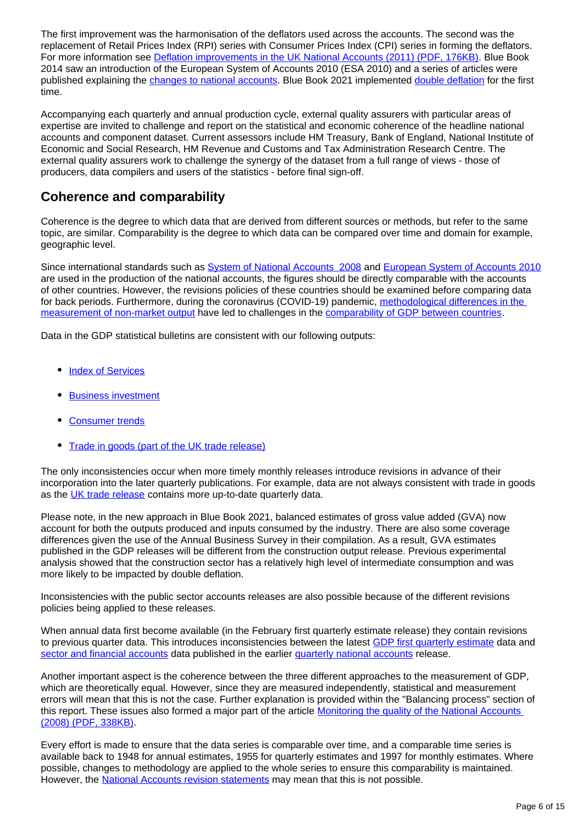The first improvement was the harmonisation of the deflators used across the accounts. The second was the replacement of Retail Prices Index (RPI) series with Consumer Prices Index (CPI) series in forming the deflators. For more information see [Deflation improvements in the UK National Accounts \(2011\) \(PDF, 176KB\).](https://www.google.co.uk/url?sa=t&rct=j&q=&esrc=s&source=web&cd=1&cad=rja&uact=8&ved=0ahUKEwiek_Wl4fPRAhUoL8AKHSMiAnwQFggcMAA&url=https%3A%2F%2Fwww.ons.gov.uk%2Fons%2Fguide-method%2Fmethod-quality%2Fspecific%2Feconomy%2Fnational-accounts%2Farticles%2Fdeflation-improvements-in-the-uk-national-accounts.pdf&usg=AFQjCNFP6MWxCKRPSc9phHHrQsB7cAIPjg) Blue Book 2014 saw an introduction of the European System of Accounts 2010 (ESA 2010) and a series of articles were published explaining the [changes to national accounts](https://www.ons.gov.uk/economy/nationalaccounts/uksectoraccounts/articles/changestonationalaccounts/previousReleases). Blue Book 2021 implemented [double deflation](https://www.ons.gov.uk/economy/nationalaccounts/uksectoraccounts/methodologies/doubledeflationmethodsanddeflatorimprovementstouknationalaccountsbluebook2021) for the first time.

Accompanying each quarterly and annual production cycle, external quality assurers with particular areas of expertise are invited to challenge and report on the statistical and economic coherence of the headline national accounts and component dataset. Current assessors include HM Treasury, Bank of England, National Institute of Economic and Social Research, HM Revenue and Customs and Tax Administration Research Centre. The external quality assurers work to challenge the synergy of the dataset from a full range of views - those of producers, data compilers and users of the statistics - before final sign-off.

## **Coherence and comparability**

Coherence is the degree to which data that are derived from different sources or methods, but refer to the same topic, are similar. Comparability is the degree to which data can be compared over time and domain for example, geographic level.

Since international standards such as [System of National Accounts 2008](http://unstats.un.org/unsd/nationalaccount/sna2008.asp) and [European System of Accounts 2010](http://ec.europa.eu/eurostat/web/esa-2010/overview) are used in the production of the national accounts, the figures should be directly comparable with the accounts of other countries. However, the revisions policies of these countries should be examined before comparing data for back periods. Furthermore, during the coronavirus (COVID-19) pandemic, methodological differences in the [measurement of non-market output](https://www.ons.gov.uk/economy/economicoutputandproductivity/output/methodologies/internationalcomparisonsofthemeasurementofnonmarketoutputduringthecoronaviruscovid19pandemic) have led to challenges in the [comparability of GDP between countries.](https://www.ons.gov.uk/economy/grossdomesticproductgdp/articles/internationalcomparisonsofgdpduringthecoronaviruscovid19pandemic/2021-02-01)

Data in the GDP statistical bulletins are consistent with our following outputs:

- [Index of Services](https://www.ons.gov.uk/economy/economicoutputandproductivity/output/bulletins/indexofservices/previousReleases)
- [Business investment](https://www.ons.gov.uk/economy/grossdomesticproductgdp/bulletins/businessinvestment/previousReleases)
- [Consumer trends](https://www.ons.gov.uk/economy/nationalaccounts/satelliteaccounts/bulletins/consumertrends/previousReleases)
- [Trade in goods \(part of the UK trade release\)](https://www.ons.gov.uk/economy/nationalaccounts/balanceofpayments/bulletins/uktrade/previousReleases)

The only inconsistencies occur when more timely monthly releases introduce revisions in advance of their incorporation into the later quarterly publications. For example, data are not always consistent with trade in goods as the [UK trade release](https://www.ons.gov.uk/economy/nationalaccounts/balanceofpayments/bulletins/uktrade/previousReleases) contains more up-to-date quarterly data.

Please note, in the new approach in Blue Book 2021, balanced estimates of gross value added (GVA) now account for both the outputs produced and inputs consumed by the industry. There are also some coverage differences given the use of the Annual Business Survey in their compilation. As a result, GVA estimates published in the GDP releases will be different from the construction output release. Previous experimental analysis showed that the construction sector has a relatively high level of intermediate consumption and was more likely to be impacted by double deflation.

Inconsistencies with the public sector accounts releases are also possible because of the different revisions policies being applied to these releases.

When annual data first become available (in the February first quarterly estimate release) they contain revisions to previous quarter data. This introduces inconsistencies between the latest [GDP first quarterly estimate](https://www.ons.gov.uk/economy/grossdomesticproductgdp/bulletins/gdpfirstquarterlyestimateuk/previousReleases) data and [sector and financial accounts](http://www.ons.gov.uk/economy/nationalaccounts/uksectoraccounts) data published in the earlier [quarterly national accounts](https://www.ons.gov.uk/economy/grossdomesticproductgdp/bulletins/quarterlynationalaccounts/previousReleases) release.

Another important aspect is the coherence between the three different approaches to the measurement of GDP, which are theoretically equal. However, since they are measured independently, statistical and measurement errors will mean that this is not the case. Further explanation is provided within the "Balancing process" section of this report. These issues also formed a major part of the article [Monitoring the quality of the National Accounts](http://www.ons.gov.uk/ons/rel/elmr/economic-and-labour-market-review/no--3--march-2008/monitoring-the-quality-of-the-national-accounts.pdf)  [\(2008\) \(PDF, 338KB\).](http://www.ons.gov.uk/ons/rel/elmr/economic-and-labour-market-review/no--3--march-2008/monitoring-the-quality-of-the-national-accounts.pdf)

Every effort is made to ensure that the data series is comparable over time, and a comparable time series is available back to 1948 for annual estimates, 1955 for quarterly estimates and 1997 for monthly estimates. Where possible, changes to methodology are applied to the whole series to ensure this comparability is maintained. However, the [National Accounts revision statements](https://www.ons.gov.uk/methodology/methodologytopicsandstatisticalconcepts/revisions) may mean that this is not possible.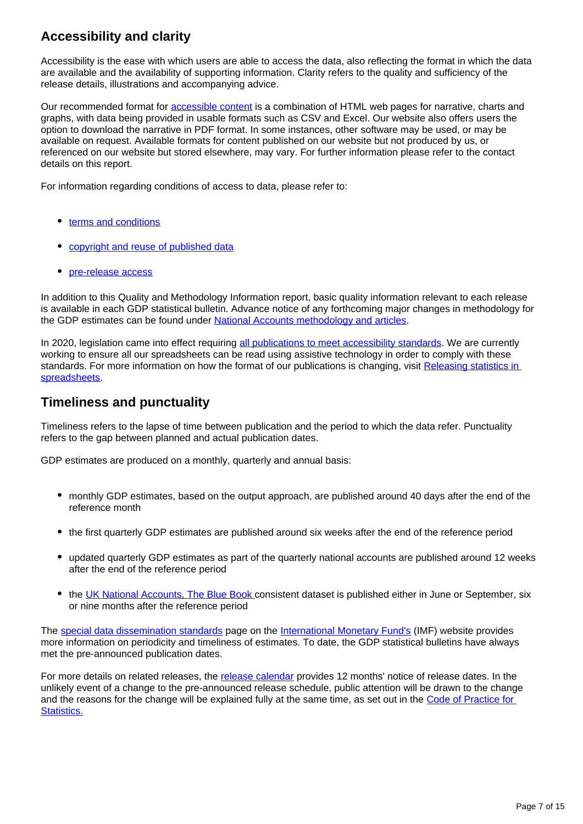## **Accessibility and clarity**

Accessibility is the ease with which users are able to access the data, also reflecting the format in which the data are available and the availability of supporting information. Clarity refers to the quality and sufficiency of the release details, illustrations and accompanying advice.

Our recommended format for [accessible content](https://www.ons.gov.uk/help/accessibility) is a combination of HTML web pages for narrative, charts and graphs, with data being provided in usable formats such as CSV and Excel. Our website also offers users the option to download the narrative in PDF format. In some instances, other software may be used, or may be available on request. Available formats for content published on our website but not produced by us, or referenced on our website but stored elsewhere, may vary. For further information please refer to the contact details on this report.

For information regarding conditions of access to data, please refer to:

- [terms and conditions](https://www.ons.gov.uk/help/termsandconditions)
- [copyright and reuse of published data](https://www.nationalarchives.gov.uk/doc/open-government-licence/version/3/)
- [pre-release access](https://www.statisticsauthority.gov.uk/about-the-authority/uk-statistical-system/legislation/pre-release-access/)

In addition to this Quality and Methodology Information report, basic quality information relevant to each release is available in each GDP statistical bulletin. Advance notice of any forthcoming major changes in methodology for the GDP estimates can be found under [National Accounts methodology and articles](http://www.ons.gov.uk/economy/nationalaccounts/topicspecificmethodology).

In 2020, legislation came into effect requiring [all publications to meet accessibility standards.](https://www.legislation.gov.uk/uksi/2018/952/contents/made) We are currently working to ensure all our spreadsheets can be read using assistive technology in order to comply with these standards. For more information on how the format of our publications is changing, visit Releasing statistics in [spreadsheets](https://gss.civilservice.gov.uk/policy-store/releasing-statistics-in-spreadsheets/).

### **Timeliness and punctuality**

Timeliness refers to the lapse of time between publication and the period to which the data refer. Punctuality refers to the gap between planned and actual publication dates.

GDP estimates are produced on a monthly, quarterly and annual basis:

- monthly GDP estimates, based on the output approach, are published around 40 days after the end of the reference month
- the first quarterly GDP estimates are published around six weeks after the end of the reference period
- updated quarterly GDP estimates as part of the quarterly national accounts are published around 12 weeks after the end of the reference period
- the [UK National Accounts, The Blue Book](https://www.ons.gov.uk/economy/grossdomesticproductgdp/compendium/unitedkingdomnationalaccountsthebluebook/previousReleases) consistent dataset is published either in June or September, six or nine months after the reference period

The [special data dissemination standards](http://dsbb.imf.org/Pages/SDDS/Home.aspx) page on the [International Monetary Fund's](http://www.imf.org/external/index.htm) (IMF) website provides more information on periodicity and timeliness of estimates. To date, the GDP statistical bulletins have always met the pre-announced publication dates.

For more details on related releases, the [release calendar](https://www.ons.gov.uk/releasecalendar) provides 12 months' notice of release dates. In the unlikely event of a change to the pre-announced release schedule, public attention will be drawn to the change and the reasons for the change will be explained fully at the same time, as set out in the Code of Practice for [Statistics.](https://code.statisticsauthority.gov.uk/)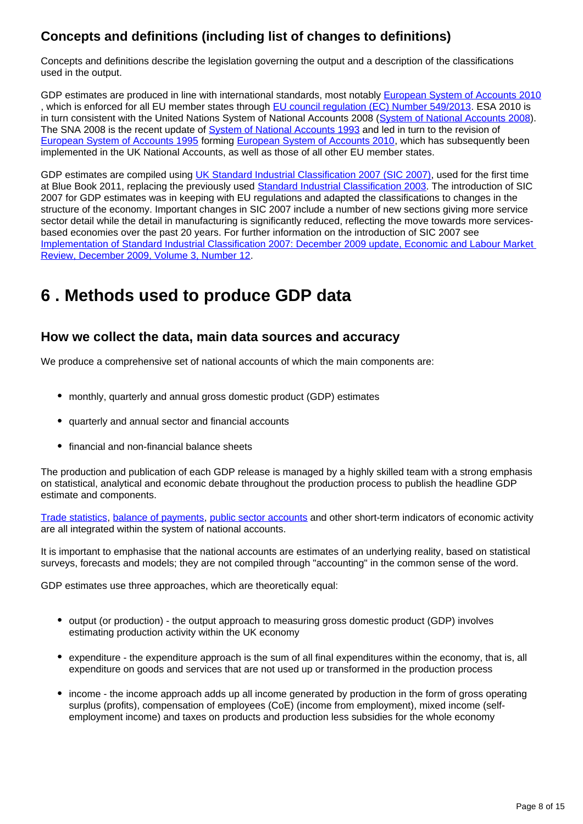## **Concepts and definitions (including list of changes to definitions)**

Concepts and definitions describe the legislation governing the output and a description of the classifications used in the output.

GDP estimates are produced in line with international standards, most notably [European System of Accounts 2010](http://ec.europa.eu/eurostat/web/esa-2010/overview) , which is enforced for all EU member states through [EU council regulation \(EC\) Number 549/2013](http://eur-lex.europa.eu/legal-content/EN/TXT/?qid=1442846165683&uri=CELEX:32013R0549). ESA 2010 is in turn consistent with the United Nations System of National Accounts 2008 ([System of National Accounts 2008\)](http://unstats.un.org/unsd/nationalaccount/sna2008.asp). The SNA 2008 is the recent update of [System of National Accounts 1993](http://unstats.un.org/unsd/nationalaccount/sna1993.asp) and led in turn to the revision of [European System of Accounts 1995](http://ec.europa.eu/eurostat/statistics-explained/index.php/Glossary:European_system_of_national_and_regional_accounts_(ESA95)) forming [European System of Accounts 2010](http://ec.europa.eu/eurostat/web/esa-2010/overview), which has subsequently been implemented in the UK National Accounts, as well as those of all other EU member states.

GDP estimates are compiled using [UK Standard Industrial Classification 2007 \(SIC 2007\)](http://www.ons.gov.uk/methodology/classificationsandstandards/ukstandardindustrialclassificationofeconomicactivities/uksic2007), used for the first time at Blue Book 2011, replacing the previously used [Standard Industrial Classification 2003](http://www.ons.gov.uk/ons/guide-method/classifications/archived-standard-classifications/uk-standard-industrial-classification-1992--sic92-/uk-sic-2003.pdf). The introduction of SIC 2007 for GDP estimates was in keeping with EU regulations and adapted the classifications to changes in the structure of the economy. Important changes in SIC 2007 include a number of new sections giving more service sector detail while the detail in manufacturing is significantly reduced, reflecting the move towards more servicesbased economies over the past 20 years. For further information on the introduction of SIC 2007 see [Implementation of Standard Industrial Classification 2007: December 2009 update, Economic and Labour Market](http://webarchive.nationalarchives.gov.uk/20160105160709/http:/www.ons.gov.uk/ons/rel/elmr/economic-and-labour-market-review/no--12--december-2009/index.html)  [Review, December 2009, Volume 3, Number 12.](http://webarchive.nationalarchives.gov.uk/20160105160709/http:/www.ons.gov.uk/ons/rel/elmr/economic-and-labour-market-review/no--12--december-2009/index.html)

## <span id="page-7-0"></span>**6 . Methods used to produce GDP data**

### **How we collect the data, main data sources and accuracy**

We produce a comprehensive set of national accounts of which the main components are:

- monthly, quarterly and annual gross domestic product (GDP) estimates
- quarterly and annual sector and financial accounts
- financial and non-financial balance sheets

The production and publication of each GDP release is managed by a highly skilled team with a strong emphasis on statistical, analytical and economic debate throughout the production process to publish the headline GDP estimate and components.

[Trade statistics,](https://www.ons.gov.uk/economy/nationalaccounts/balanceofpayments/bulletins/uktrade/previousReleases) [balance of payments,](https://www.ons.gov.uk/economy/nationalaccounts/balanceofpayments/bulletins/balanceofpayments/previousReleases) [public sector accounts](http://www.ons.gov.uk/economy/governmentpublicsectorandtaxes/publicsectorfinance) and other short-term indicators of economic activity are all integrated within the system of national accounts.

It is important to emphasise that the national accounts are estimates of an underlying reality, based on statistical surveys, forecasts and models; they are not compiled through "accounting" in the common sense of the word.

GDP estimates use three approaches, which are theoretically equal:

- output (or production) the output approach to measuring gross domestic product (GDP) involves estimating production activity within the UK economy
- expenditure the expenditure approach is the sum of all final expenditures within the economy, that is, all expenditure on goods and services that are not used up or transformed in the production process
- income the income approach adds up all income generated by production in the form of gross operating surplus (profits), compensation of employees (CoE) (income from employment), mixed income (selfemployment income) and taxes on products and production less subsidies for the whole economy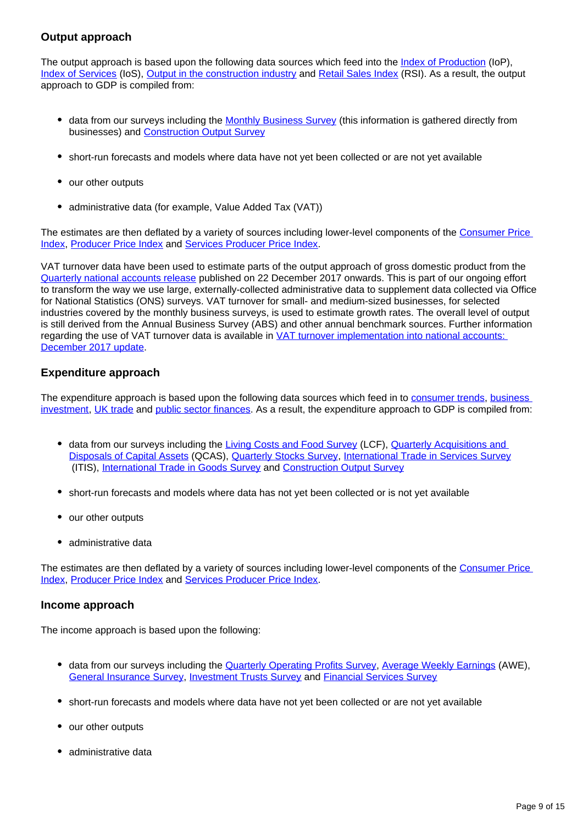#### **Output approach**

The output approach is based upon the following data sources which feed into the [Index of Production](https://www.ons.gov.uk/economy/economicoutputandproductivity/output/bulletins/indexofproduction/previousReleases) (IoP), [Index of Services](https://www.ons.gov.uk/economy/economicoutputandproductivity/output/bulletins/indexofservices/previousReleases) (IoS), [Output in the construction industry](https://www.ons.gov.uk/businessindustryandtrade/constructionindustry/datasets/outputintheconstructionindustry) and [Retail Sales Index](https://www.ons.gov.uk/businessindustryandtrade/retailindustry/bulletins/retailsales/previousReleases) (RSI). As a result, the output approach to GDP is compiled from:

- data from our surveys including the [Monthly Business Survey](http://www.ons.gov.uk/ons/about-ons/get-involved/taking-part-in-a-survey/information-for-businesses/a-to-z-of-business-surveys/monthly-business-survey--production-and-services-/index.html) (this information is gathered directly from businesses) and **[Construction Output Survey](http://www.ons.gov.uk/ons/about-ons/get-involved/taking-part-in-a-survey/information-for-businesses/a-to-z-of-business-surveys/monthly-business-survey--construction-and-allied-trades-/index.html)**
- short-run forecasts and models where data have not yet been collected or are not yet available
- our other outputs
- administrative data (for example, Value Added Tax (VAT))

The estimates are then deflated by a variety of sources including lower-level components of the [Consumer Price](https://www.ons.gov.uk/economy/inflationandpriceindices/bulletins/consumerpriceinflation/previousReleases)  [Index](https://www.ons.gov.uk/economy/inflationandpriceindices/bulletins/consumerpriceinflation/previousReleases), [Producer Price Index](https://www.ons.gov.uk/economy/inflationandpriceindices/bulletins/producerpriceinflation/previousReleases) and [Services Producer Price Index.](https://www.ons.gov.uk/economy/inflationandpriceindices/bulletins/servicesproducerpriceindices/previousReleases)

VAT turnover data have been used to estimate parts of the output approach of gross domestic product from the [Quarterly national accounts release](https://www.ons.gov.uk/economy/grossdomesticproductgdp/bulletins/quarterlynationalaccounts/julytoseptember2017) published on 22 December 2017 onwards. This is part of our ongoing effort to transform the way we use large, externally-collected administrative data to supplement data collected via Office for National Statistics (ONS) surveys. VAT turnover for small- and medium-sized businesses, for selected industries covered by the monthly business surveys, is used to estimate growth rates. The overall level of output is still derived from the Annual Business Survey (ABS) and other annual benchmark sources. Further information regarding the use of VAT turnover data is available in VAT turnover implementation into national accounts: [December 2017 update](https://www.ons.gov.uk/economy/grossdomesticproductgdp/articles/vatturnoverinitialresearchanalysisuk/december).

#### **Expenditure approach**

The expenditure approach is based upon the following data sources which feed in to [consumer trends](http://www.ons.gov.uk/economy/nationalaccounts/satelliteaccounts/bulletins/consumertrends/previousReleases), business [investment,](https://www.ons.gov.uk/economy/grossdomesticproductgdp/bulletins/businessinvestment/previousReleases) [UK trade](https://www.ons.gov.uk/economy/nationalaccounts/balanceofpayments/bulletins/uktrade/previousReleases) and [public sector finances.](https://www.ons.gov.uk/economy/governmentpublicsectorandtaxes/publicsectorfinance/bulletins/publicsectorfinances/previousReleases) As a result, the expenditure approach to GDP is compiled from:

- data from our surveys including the [Living Costs and Food Survey](http://www.ons.gov.uk/ons/about-ons/get-involved/taking-part-in-a-survey/information-for-households/a-to-z-of-household-and-individual-surveys/living-costs-and-food-survey/index.html) (LCF), Quarterly Acquisitions and [Disposals of Capital Assets](http://www.ons.gov.uk/ons/about-ons/get-involved/taking-part-in-a-survey/information-for-businesses/a-to-z-of-business-surveys/quarterly-acquisitions-and-disposals-of-capital-assets-survey/index.html) (QCAS), [Quarterly Stocks Survey](http://www.ons.gov.uk/ons/about-ons/get-involved/taking-part-in-a-survey/information-for-businesses/a-to-z-of-business-surveys/quarterly-stocks-survey/index.html), [International Trade in Services Survey](http://www.ons.gov.uk/ons/rel/itis/international-trade-in-services/index.html) (ITIS), [International Trade in Goods Survey](https://www.ons.gov.uk/businessindustryandtrade/internationaltrade/datasets/uktradeingoodsbyclassificationofproductbyactivity) and [Construction Output Survey](http://www.ons.gov.uk/ons/about-ons/get-involved/taking-part-in-a-survey/information-for-businesses/a-to-z-of-business-surveys/monthly-business-survey--construction-and-allied-trades-/index.html)
- short-run forecasts and models where data has not yet been collected or is not yet available
- our other outputs
- administrative data

The estimates are then deflated by a variety of sources including lower-level components of the [Consumer Price](https://www.ons.gov.uk/economy/inflationandpriceindices/bulletins/consumerpriceinflation/previousReleases)  [Index](https://www.ons.gov.uk/economy/inflationandpriceindices/bulletins/consumerpriceinflation/previousReleases), [Producer Price Index](https://www.ons.gov.uk/economy/inflationandpriceindices/bulletins/producerpriceinflation/previousReleases) and [Services Producer Price Index.](https://www.ons.gov.uk/economy/inflationandpriceindices/bulletins/servicesproducerpriceindices/previousReleases)

#### **Income approach**

The income approach is based upon the following:

- data from our surveys including the **Quarterly Operating Profits Survey**, [Average Weekly Earnings](http://www.ons.gov.uk/ons/taxonomy/index.html?nscl=Weekly%20Earnings) (AWE), [General Insurance Survey,](http://www.ons.gov.uk/ons/about-ons/get-involved/taking-part-in-a-survey/information-for-businesses/a-to-z-of-business-surveys/quarterly-survey-of-insurance-companies/index.html) [Investment Trusts Survey](http://www.ons.gov.uk/ons/about-ons/get-involved/taking-part-in-a-survey/information-for-businesses/a-to-z-of-business-surveys/investment-trusts-quarterly-return-of-transactions/index.html) and [Financial Services Survey](https://www.ons.gov.uk/surveys/informationforbusinesses/businesssurveys/financialservicessurvey)
- short-run forecasts and models where data have not yet been collected or are not yet available
- our other outputs
- administrative data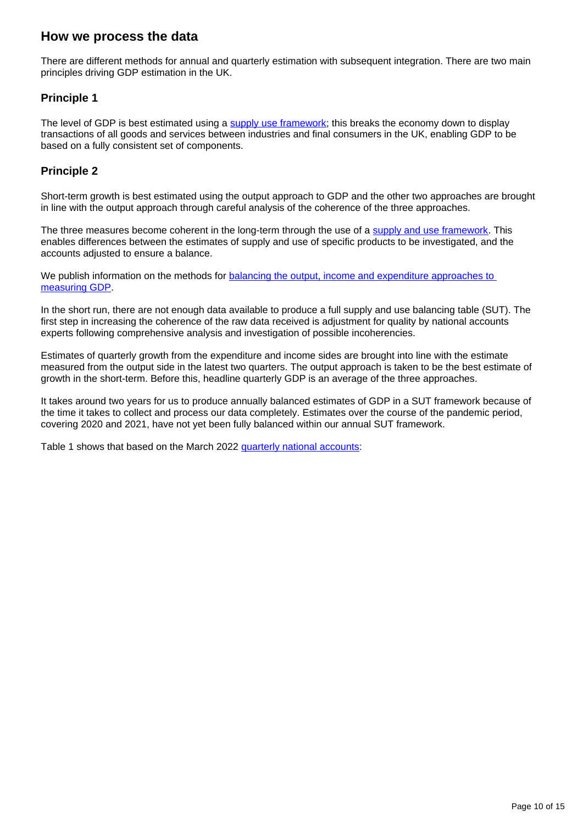### **How we process the data**

There are different methods for annual and quarterly estimation with subsequent integration. There are two main principles driving GDP estimation in the UK.

#### **Principle 1**

The level of GDP is best estimated using a [supply use framework](https://www.ons.gov.uk/economy/nationalaccounts/supplyandusetables); this breaks the economy down to display transactions of all goods and services between industries and final consumers in the UK, enabling GDP to be based on a fully consistent set of components.

#### **Principle 2**

Short-term growth is best estimated using the output approach to GDP and the other two approaches are brought in line with the output approach through careful analysis of the coherence of the three approaches.

The three measures become coherent in the long-term through the use of a [supply and use framework.](https://www.ons.gov.uk/economy/nationalaccounts/supplyandusetables) This enables differences between the estimates of supply and use of specific products to be investigated, and the accounts adjusted to ensure a balance.

We publish information on the methods for balancing the output, income and expenditure approaches to [measuring GDP.](https://www.google.co.uk/url?sa=t&rct=j&q=&esrc=s&source=web&cd=1&cad=rja&uact=8&ved=0ahUKEwiFgqqzlfHRAhXpD8AKHX3GCnYQFggcMAA&url=https%3A%2F%2Fwww.ons.gov.uk%2Fons%2Fexternal-links%2Fons---pdfs-only%2Fbalancing-the-three-approaches-to-measuring-gross-domestic-product--2012.html&usg=AFQjCNF3YUrNv1JaiIVztuWjnhph6iLTqw)

In the short run, there are not enough data available to produce a full supply and use balancing table (SUT). The first step in increasing the coherence of the raw data received is adjustment for quality by national accounts experts following comprehensive analysis and investigation of possible incoherencies.

Estimates of quarterly growth from the expenditure and income sides are brought into line with the estimate measured from the output side in the latest two quarters. The output approach is taken to be the best estimate of growth in the short-term. Before this, headline quarterly GDP is an average of the three approaches.

It takes around two years for us to produce annually balanced estimates of GDP in a SUT framework because of the time it takes to collect and process our data completely. Estimates over the course of the pandemic period, covering 2020 and 2021, have not yet been fully balanced within our annual SUT framework.

Table 1 shows that based on the March 2022 [quarterly national accounts:](https://www.ons.gov.uk/economy/grossdomesticproductgdp/bulletins/quarterlynationalaccounts/octobertodecember2021#measuring-the-data)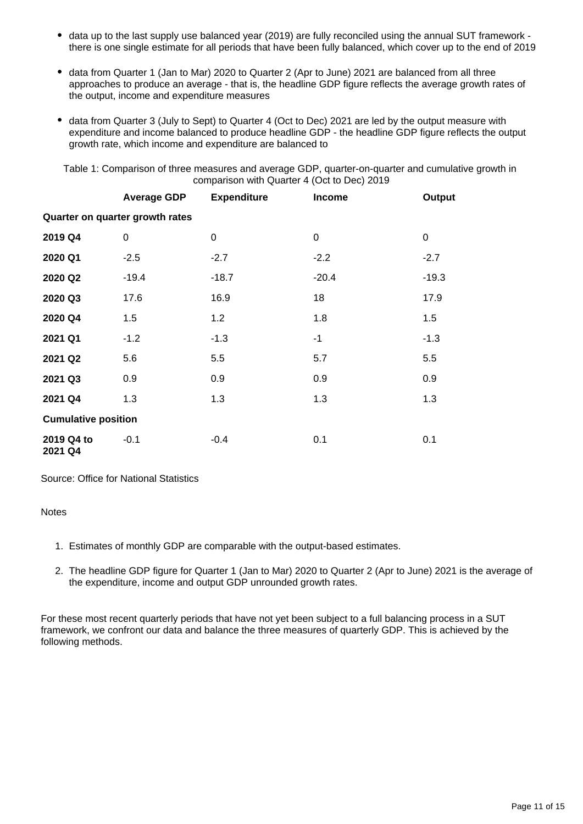- data up to the last supply use balanced year (2019) are fully reconciled using the annual SUT framework there is one single estimate for all periods that have been fully balanced, which cover up to the end of 2019
- data from Quarter 1 (Jan to Mar) 2020 to Quarter 2 (Apr to June) 2021 are balanced from all three approaches to produce an average - that is, the headline GDP figure reflects the average growth rates of the output, income and expenditure measures
- data from Quarter 3 (July to Sept) to Quarter 4 (Oct to Dec) 2021 are led by the output measure with expenditure and income balanced to produce headline GDP - the headline GDP figure reflects the output growth rate, which income and expenditure are balanced to

Table 1: Comparison of three measures and average GDP, quarter-on-quarter and cumulative growth in comparison with Quarter 4 (Oct to Dec) 2019

|                                 | <b>Average GDP</b> | <b>Expenditure</b> | <b>Income</b> | <b>Output</b> |
|---------------------------------|--------------------|--------------------|---------------|---------------|
| Quarter on quarter growth rates |                    |                    |               |               |
| 2019 Q4                         | 0                  | 0                  | 0             | 0             |
| 2020 Q1                         | $-2.5$             | $-2.7$             | $-2.2$        | $-2.7$        |
| 2020 Q2                         | $-19.4$            | $-18.7$            | $-20.4$       | $-19.3$       |
| 2020 Q3                         | 17.6               | 16.9               | 18            | 17.9          |
| 2020 Q4                         | 1.5                | 1.2                | 1.8           | 1.5           |
| 2021 Q1                         | $-1.2$             | $-1.3$             | $-1$          | $-1.3$        |
| 2021 Q2                         | 5.6                | 5.5                | 5.7           | 5.5           |
| 2021 Q3                         | 0.9                | 0.9                | 0.9           | 0.9           |
| 2021 Q4                         | 1.3                | 1.3                | 1.3           | 1.3           |
| <b>Cumulative position</b>      |                    |                    |               |               |
| 2019 Q4 to<br>2021 Q4           | $-0.1$             | $-0.4$             | 0.1           | 0.1           |

Source: Office for National Statistics

#### Notes

- 1. Estimates of monthly GDP are comparable with the output-based estimates.
- 2. The headline GDP figure for Quarter 1 (Jan to Mar) 2020 to Quarter 2 (Apr to June) 2021 is the average of the expenditure, income and output GDP unrounded growth rates.

For these most recent quarterly periods that have not yet been subject to a full balancing process in a SUT framework, we confront our data and balance the three measures of quarterly GDP. This is achieved by the following methods.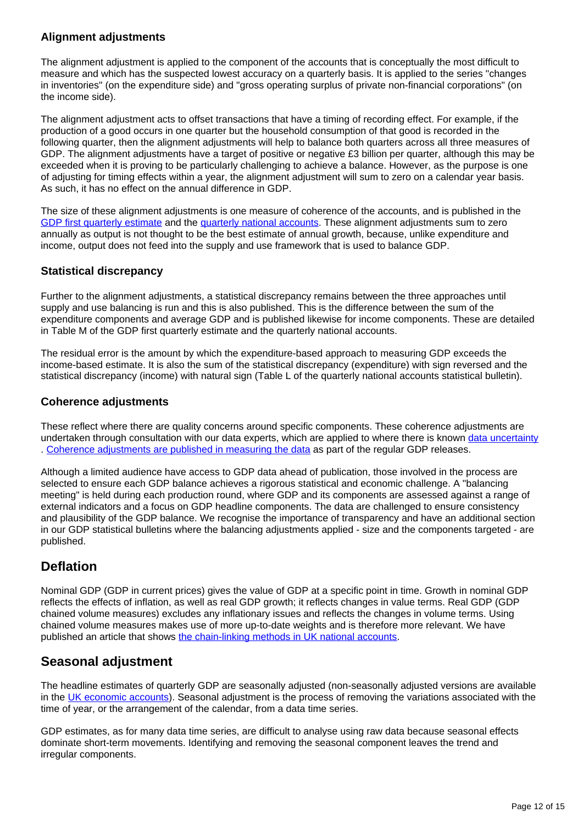#### **Alignment adjustments**

The alignment adjustment is applied to the component of the accounts that is conceptually the most difficult to measure and which has the suspected lowest accuracy on a quarterly basis. It is applied to the series "changes in inventories" (on the expenditure side) and "gross operating surplus of private non-financial corporations" (on the income side).

The alignment adjustment acts to offset transactions that have a timing of recording effect. For example, if the production of a good occurs in one quarter but the household consumption of that good is recorded in the following quarter, then the alignment adjustments will help to balance both quarters across all three measures of GDP. The alignment adjustments have a target of positive or negative £3 billion per quarter, although this may be exceeded when it is proving to be particularly challenging to achieve a balance. However, as the purpose is one of adjusting for timing effects within a year, the alignment adjustment will sum to zero on a calendar year basis. As such, it has no effect on the annual difference in GDP.

The size of these alignment adjustments is one measure of coherence of the accounts, and is published in the [GDP first quarterly estimate](https://www.ons.gov.uk/economy/grossdomesticproductgdp/bulletins/gdpfirstquarterlyestimateuk/previousReleases) and the [quarterly national accounts](https://www.ons.gov.uk/economy/grossdomesticproductgdp/bulletins/quarterlynationalaccounts/previousReleases). These alignment adjustments sum to zero annually as output is not thought to be the best estimate of annual growth, because, unlike expenditure and income, output does not feed into the supply and use framework that is used to balance GDP.

#### **Statistical discrepancy**

Further to the alignment adjustments, a statistical discrepancy remains between the three approaches until supply and use balancing is run and this is also published. This is the difference between the sum of the expenditure components and average GDP and is published likewise for income components. These are detailed in Table M of the GDP first quarterly estimate and the quarterly national accounts.

The residual error is the amount by which the expenditure-based approach to measuring GDP exceeds the income-based estimate. It is also the sum of the statistical discrepancy (expenditure) with sign reversed and the statistical discrepancy (income) with natural sign (Table L of the quarterly national accounts statistical bulletin).

#### **Coherence adjustments**

These reflect where there are quality concerns around specific components. These coherence adjustments are undertaken through consultation with our data experts, which are applied to where there is known [data uncertainty](https://www.ons.gov.uk/methodology/methodologytopicsandstatisticalconcepts/uncertaintyandhowwemeasureit#what-is-uncertainty) . [Coherence adjustments are published in measuring the data](https://www.ons.gov.uk/economy/grossdomesticproductgdp/bulletins/quarterlynationalaccounts/apriltojune2021#measuring-the-data) as part of the regular GDP releases.

Although a limited audience have access to GDP data ahead of publication, those involved in the process are selected to ensure each GDP balance achieves a rigorous statistical and economic challenge. A "balancing meeting" is held during each production round, where GDP and its components are assessed against a range of external indicators and a focus on GDP headline components. The data are challenged to ensure consistency and plausibility of the GDP balance. We recognise the importance of transparency and have an additional section in our GDP statistical bulletins where the balancing adjustments applied - size and the components targeted - are published.

### **Deflation**

Nominal GDP (GDP in current prices) gives the value of GDP at a specific point in time. Growth in nominal GDP reflects the effects of inflation, as well as real GDP growth; it reflects changes in value terms. Real GDP (GDP chained volume measures) excludes any inflationary issues and reflects the changes in volume terms. Using chained volume measures makes use of more up-to-date weights and is therefore more relevant. We have published an article that shows [the chain-linking methods in UK national accounts.](https://www.ons.gov.uk/economy/nationalaccounts/uksectoraccounts/methodologies/chainlinkingmethodsusedwithintheuknationalaccounts)

### **Seasonal adjustment**

The headline estimates of quarterly GDP are seasonally adjusted (non-seasonally adjusted versions are available in the [UK economic accounts\)](https://www.ons.gov.uk/economy/grossdomesticproductgdp/datasets/unitedkingdomeconomicaccounts). Seasonal adjustment is the process of removing the variations associated with the time of year, or the arrangement of the calendar, from a data time series.

GDP estimates, as for many data time series, are difficult to analyse using raw data because seasonal effects dominate short-term movements. Identifying and removing the seasonal component leaves the trend and irregular components.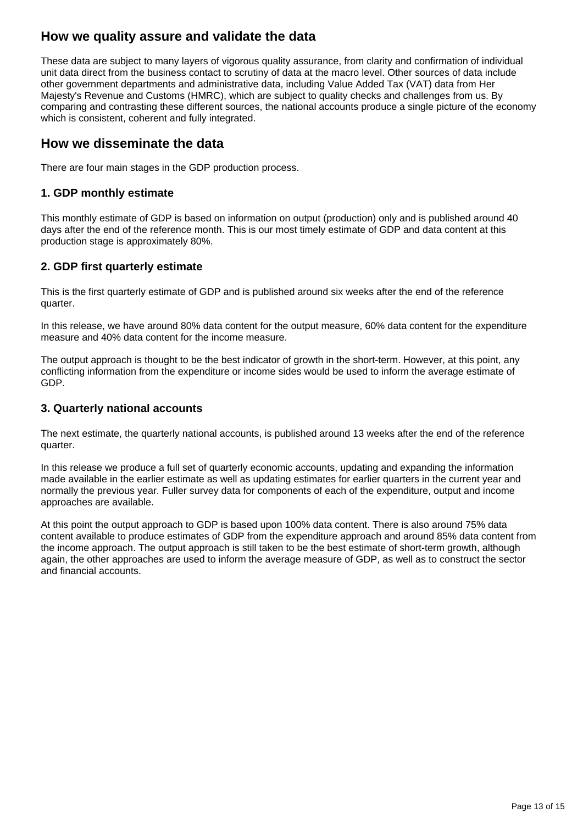## **How we quality assure and validate the data**

These data are subject to many layers of vigorous quality assurance, from clarity and confirmation of individual unit data direct from the business contact to scrutiny of data at the macro level. Other sources of data include other government departments and administrative data, including Value Added Tax (VAT) data from Her Majesty's Revenue and Customs (HMRC), which are subject to quality checks and challenges from us. By comparing and contrasting these different sources, the national accounts produce a single picture of the economy which is consistent, coherent and fully integrated.

#### **How we disseminate the data**

There are four main stages in the GDP production process.

#### **1. GDP monthly estimate**

This monthly estimate of GDP is based on information on output (production) only and is published around 40 days after the end of the reference month. This is our most timely estimate of GDP and data content at this production stage is approximately 80%.

#### **2. GDP first quarterly estimate**

This is the first quarterly estimate of GDP and is published around six weeks after the end of the reference quarter.

In this release, we have around 80% data content for the output measure, 60% data content for the expenditure measure and 40% data content for the income measure.

The output approach is thought to be the best indicator of growth in the short-term. However, at this point, any conflicting information from the expenditure or income sides would be used to inform the average estimate of GDP.

#### **3. Quarterly national accounts**

The next estimate, the quarterly national accounts, is published around 13 weeks after the end of the reference quarter.

In this release we produce a full set of quarterly economic accounts, updating and expanding the information made available in the earlier estimate as well as updating estimates for earlier quarters in the current year and normally the previous year. Fuller survey data for components of each of the expenditure, output and income approaches are available.

At this point the output approach to GDP is based upon 100% data content. There is also around 75% data content available to produce estimates of GDP from the expenditure approach and around 85% data content from the income approach. The output approach is still taken to be the best estimate of short-term growth, although again, the other approaches are used to inform the average measure of GDP, as well as to construct the sector and financial accounts.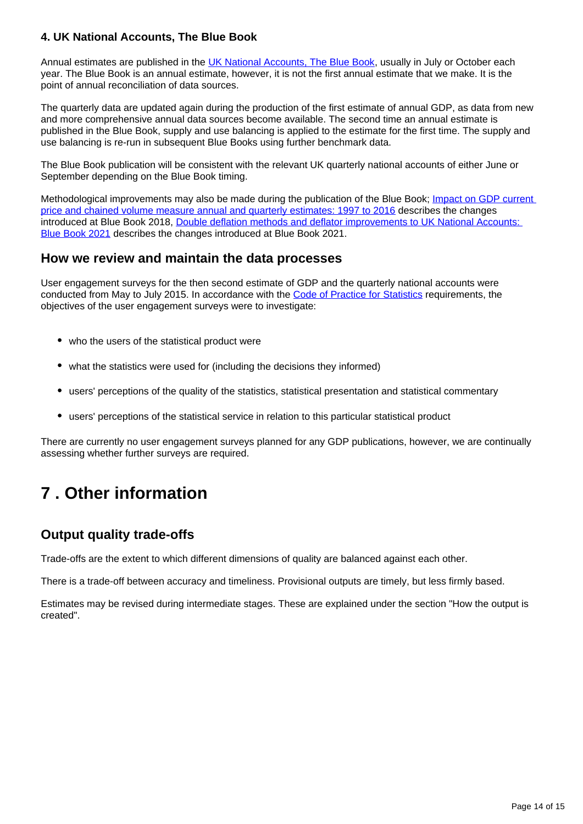#### **4. UK National Accounts, The Blue Book**

Annual estimates are published in the [UK National Accounts, The Blue Book,](https://www.ons.gov.uk/economy/grossdomesticproductgdp/datasets/bluebook) usually in July or October each year. The Blue Book is an annual estimate, however, it is not the first annual estimate that we make. It is the point of annual reconciliation of data sources.

The quarterly data are updated again during the production of the first estimate of annual GDP, as data from new and more comprehensive annual data sources become available. The second time an annual estimate is published in the Blue Book, supply and use balancing is applied to the estimate for the first time. The supply and use balancing is re-run in subsequent Blue Books using further benchmark data.

The Blue Book publication will be consistent with the relevant UK quarterly national accounts of either June or September depending on the Blue Book timing.

Methodological improvements may also be made during the publication of the Blue Book; [Impact on GDP current](https://www.ons.gov.uk/economy/nationalaccounts/uksectoraccounts/articles/nationalaccountsarticles/impactongdpcurrentpriceandchainedvolumemeasureannualandquarterlyestimates1997to2016)  [price and chained volume measure annual and quarterly estimates: 1997 to 2016](https://www.ons.gov.uk/economy/nationalaccounts/uksectoraccounts/articles/nationalaccountsarticles/impactongdpcurrentpriceandchainedvolumemeasureannualandquarterlyestimates1997to2016) describes the changes introduced at Blue Book 2018, [Double deflation methods and deflator improvements to UK National Accounts:](https://www.ons.gov.uk/economy/nationalaccounts/uksectoraccounts/methodologies/doubledeflationmethodsanddeflatorimprovementstouknationalaccountsbluebook2021)  [Blue Book 2021](https://www.ons.gov.uk/economy/nationalaccounts/uksectoraccounts/methodologies/doubledeflationmethodsanddeflatorimprovementstouknationalaccountsbluebook2021) describes the changes introduced at Blue Book 2021.

#### **How we review and maintain the data processes**

User engagement surveys for the then second estimate of GDP and the quarterly national accounts were conducted from May to July 2015. In accordance with the [Code of Practice for Statistics](https://code.statisticsauthority.gov.uk/) requirements, the objectives of the user engagement surveys were to investigate:

- who the users of the statistical product were
- what the statistics were used for (including the decisions they informed)
- users' perceptions of the quality of the statistics, statistical presentation and statistical commentary
- users' perceptions of the statistical service in relation to this particular statistical product

There are currently no user engagement surveys planned for any GDP publications, however, we are continually assessing whether further surveys are required.

## <span id="page-13-0"></span>**7 . Other information**

### **Output quality trade-offs**

Trade-offs are the extent to which different dimensions of quality are balanced against each other.

There is a trade-off between accuracy and timeliness. Provisional outputs are timely, but less firmly based.

Estimates may be revised during intermediate stages. These are explained under the section "How the output is created".